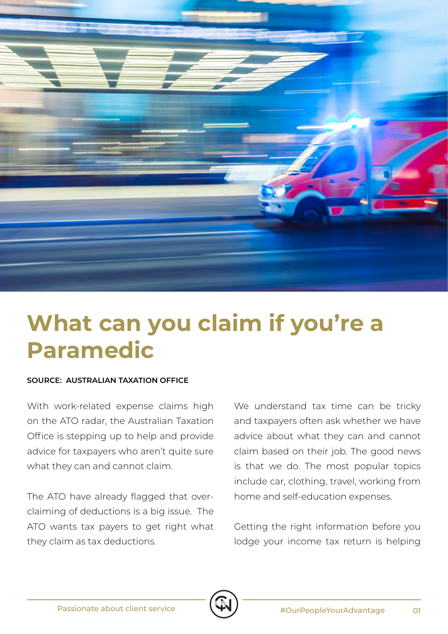

## **What can you claim if you're a Paramedic**

## **SOURCE: AUSTRALIAN TAXATION OFFICE**

With work-related expense claims high on the ATO radar, the Australian Taxation Office is stepping up to help and provide advice for taxpayers who aren't quite sure what they can and cannot claim.

The ATO have already flagged that overclaiming of deductions is a big issue. The ATO wants tax payers to get right what they claim as tax deductions.

We understand tax time can be tricky and taxpayers often ask whether we have advice about what they can and cannot claim based on their job. The good news is that we do. The most popular topics include car, clothing, travel, working from home and self-education expenses.

Getting the right information before you lodge your income tax return is helping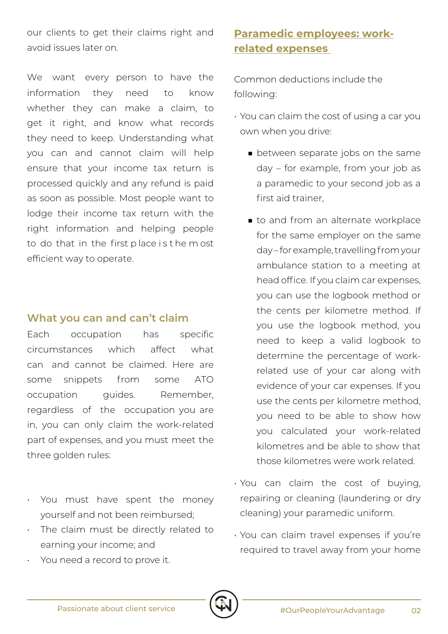our clients to get their claims right and avoid issues later on.

We want every person to have the information they need to know whether they can make a claim, to get it right, and know what records they need to keep. Understanding what you can and cannot claim will help ensure that your income tax return is processed quickly and any refund is paid as soon as possible. Most people want to lodge their income tax return with the right information and helping people to do that in the first p lace i s t he m ost efficient way to operate.

## **What you can and can't claim**

Each occupation has specific circumstances which affect what can and cannot be claimed. Here are some snippets from some ATO occupation quides. Remember, regardless of the occupation you are in, you can only claim the work-related part of expenses, and you must meet the three golden rules:

- You must have spent the money yourself and not been reimbursed;
- The claim must be directly related to earning your income; and
- You need a record to prove it.

## **Paramedic employees: workrelated expenses**

Common deductions include the following:

- You can claim the cost of using a car you own when you drive:
	- between separate jobs on the same day – for example, from your job as a paramedic to your second job as a first aid trainer,
	- to and from an alternate workplace for the same employer on the same day – for example, travelling from your ambulance station to a meeting at head office. If you claim car expenses, you can use the logbook method or the cents per kilometre method. If you use the logbook method, you need to keep a valid logbook to determine the percentage of workrelated use of your car along with evidence of your car expenses. If you use the cents per kilometre method, you need to be able to show how you calculated your work-related kilometres and be able to show that those kilometres were work related.
- You can claim the cost of buying, repairing or cleaning (laundering or dry cleaning) your paramedic uniform.
- You can claim travel expenses if you're required to travel away from your home